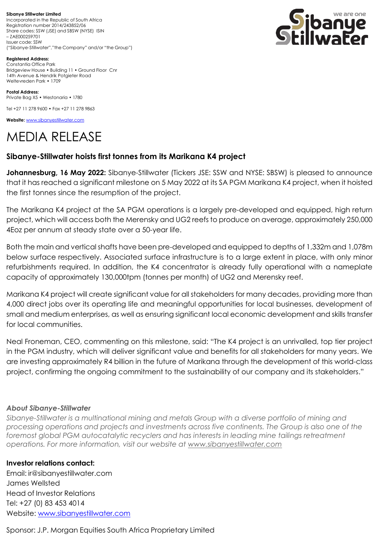**Sibanye Stillwater Limited** Incorporated in the Republic of South Africa Registration number 2014/243852/06 Share codes: SSW (JSE) and SBSW (NYSE) ISIN – ZAE000259701 Issuer code: SSW ("Sibanye-Stillwater","the Company" and/or "the Group")



**Registered Address:** Constantia Office Park Bridgeview House • Building 11 • Ground Floor Cnr 14th Avenue & Hendrik Potgieter Road Weltevreden Park • 1709

**Postal Address:** Private Bag X5 • Westonaria • 1780

Tel +27 11 278 9600 • Fax +27 11 278 9863

**Website:** [www.sibanyestillwater.com](http://www.sibanyestillwater.com/)

# MEDIA RELEASE

# **Sibanye-Stillwater hoists first tonnes from its Marikana K4 project**

**Johannesburg, 16 May 2022:** Sibanye-Stillwater (Tickers JSE: SSW and NYSE: SBSW) is pleased to announce that it has reached a significant milestone on 5 May 2022 at its SA PGM Marikana K4 project, when it hoisted the first tonnes since the resumption of the project.

The Marikana K4 project at the SA PGM operations is a largely pre-developed and equipped, high return project, which will access both the Merensky and UG2 reefs to produce on average, approximately 250,000 4Eoz per annum at steady state over a 50-year life.

Both the main and vertical shafts have been pre-developed and equipped to depths of 1,332m and 1,078m below surface respectively. Associated surface infrastructure is to a large extent in place, with only minor refurbishments required. In addition, the K4 concentrator is already fully operational with a nameplate capacity of approximately 130,000tpm (tonnes per month) of UG2 and Merensky reef.

Marikana K4 project will create significant value for all stakeholders for many decades, providing more than 4,000 direct jobs over its operating life and meaningful opportunities for local businesses, development of small and medium enterprises, as well as ensuring significant local economic development and skills transfer for local communities.

Neal Froneman, CEO, commenting on this milestone, said: "The K4 project is an unrivalled, top tier project in the PGM industry, which will deliver significant value and benefits for all stakeholders for many years. We are investing approximately R4 billion in the future of Marikana through the development of this world-class project, confirming the ongoing commitment to the sustainability of our company and its stakeholders."

### *About Sibanye-Stillwater*

*Sibanye-Stillwater is a multinational mining and metals Group with a diverse portfolio of mining and processing operations and projects and investments across five continents. The Group is also one of the foremost global PGM autocatalytic recyclers and has interests in leading mine tailings retreatment operations. For more information, visit our website at [www.sibanyestillwater.com](http://www.sibanyestillwater.com/)*

## **Investor relations contact:**

Email: [ir@sibanyestillwater.com](mailto:ir@sibanyestillwater.com) James Wellsted Head of Investor Relations Tel: +27 (0) 83 453 4014 Website: [www.sibanyestillwater.com](http://www.sibanyestillwater.com/)

Sponsor: J.P. Morgan Equities South Africa Proprietary Limited